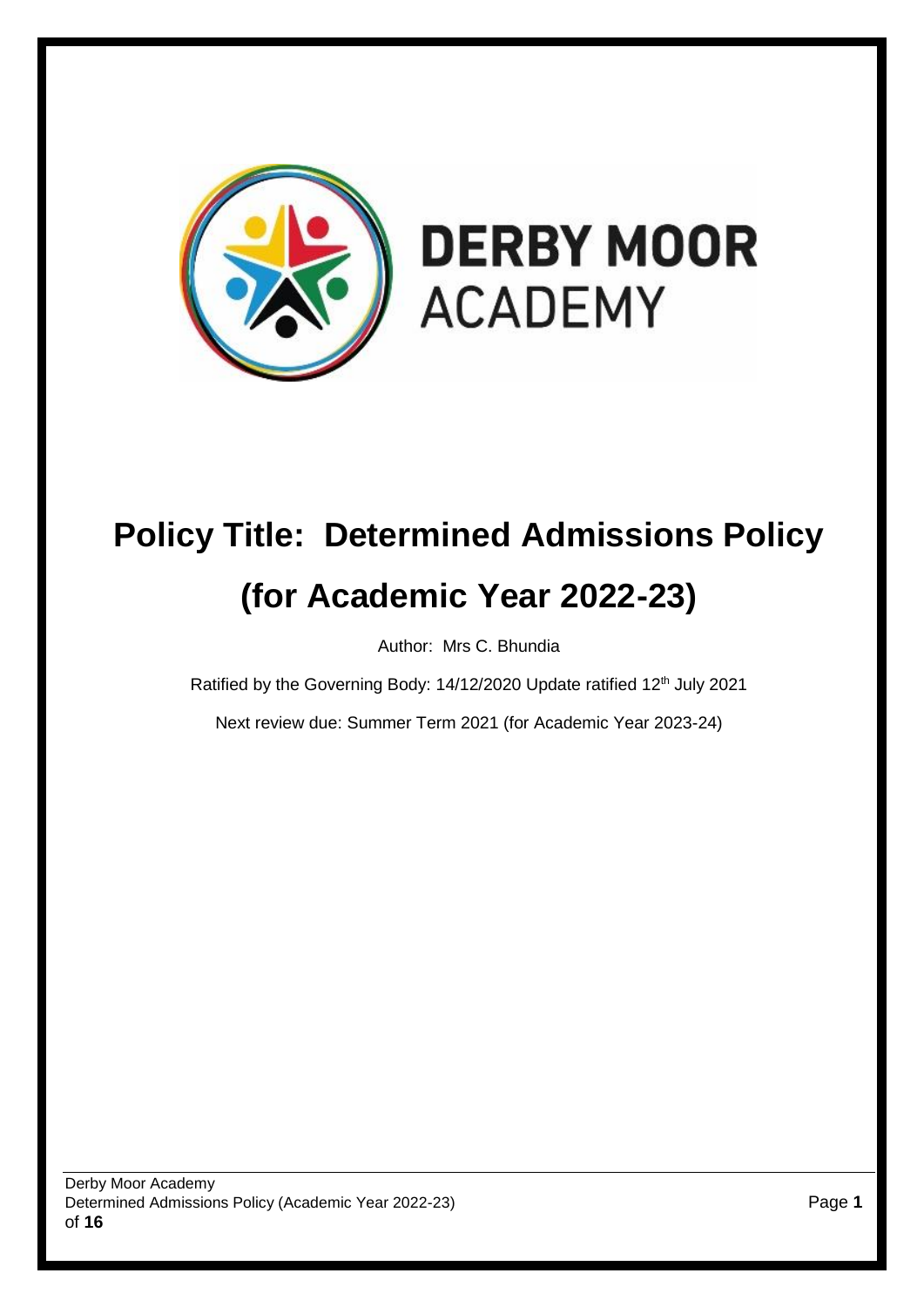

# **Policy Title: Determined Admissions Policy (for Academic Year 2022-23)**

Author: Mrs C. Bhundia

Ratified by the Governing Body: 14/12/2020 Update ratified 12<sup>th</sup> July 2021

Next review due: Summer Term 2021 (for Academic Year 2023-24)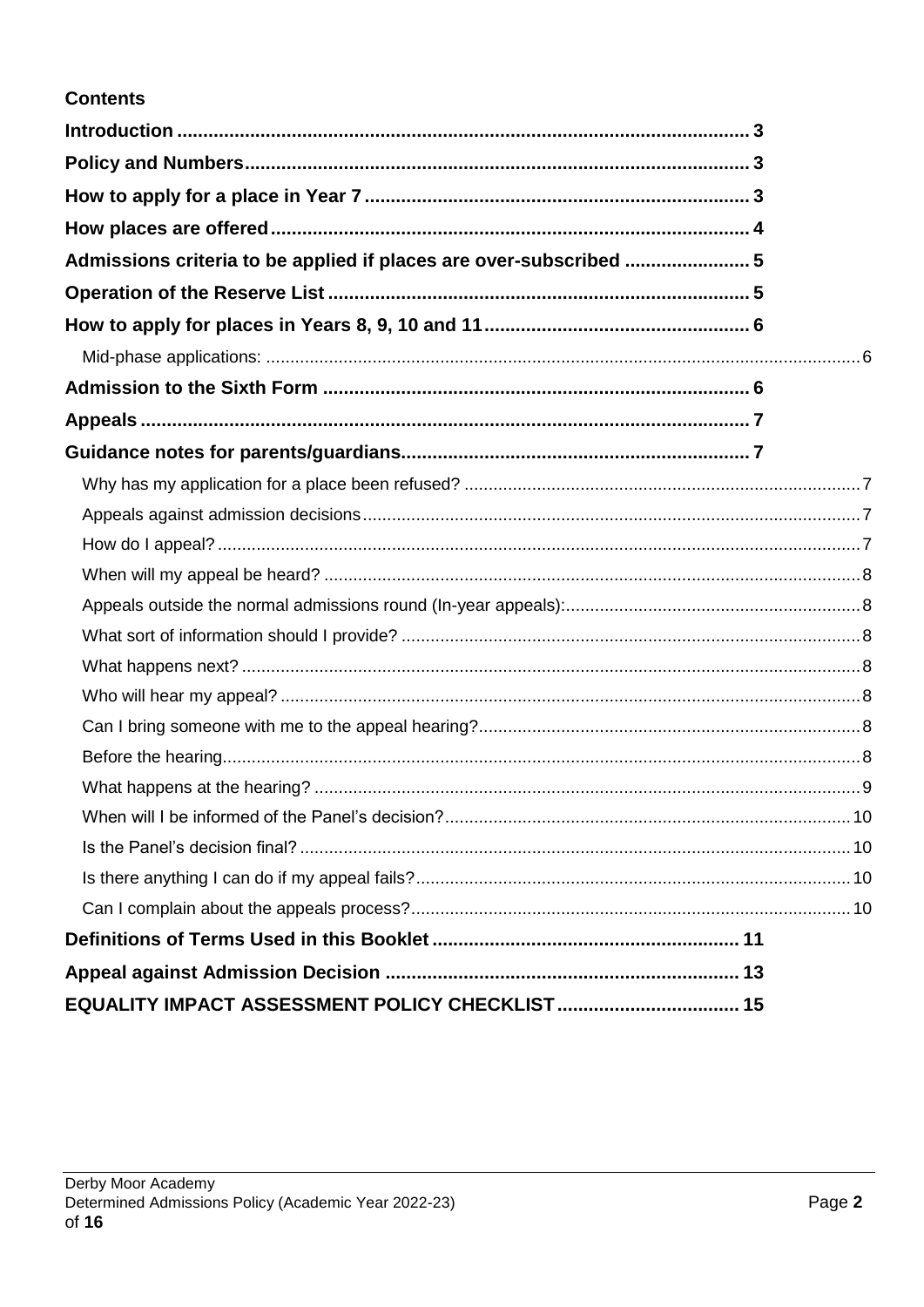# **Contents**

| Admissions criteria to be applied if places are over-subscribed  5 |  |
|--------------------------------------------------------------------|--|
|                                                                    |  |
|                                                                    |  |
|                                                                    |  |
|                                                                    |  |
|                                                                    |  |
|                                                                    |  |
|                                                                    |  |
|                                                                    |  |
|                                                                    |  |
|                                                                    |  |
|                                                                    |  |
|                                                                    |  |
|                                                                    |  |
|                                                                    |  |
|                                                                    |  |
|                                                                    |  |
|                                                                    |  |
|                                                                    |  |
|                                                                    |  |
|                                                                    |  |
|                                                                    |  |
|                                                                    |  |
|                                                                    |  |
|                                                                    |  |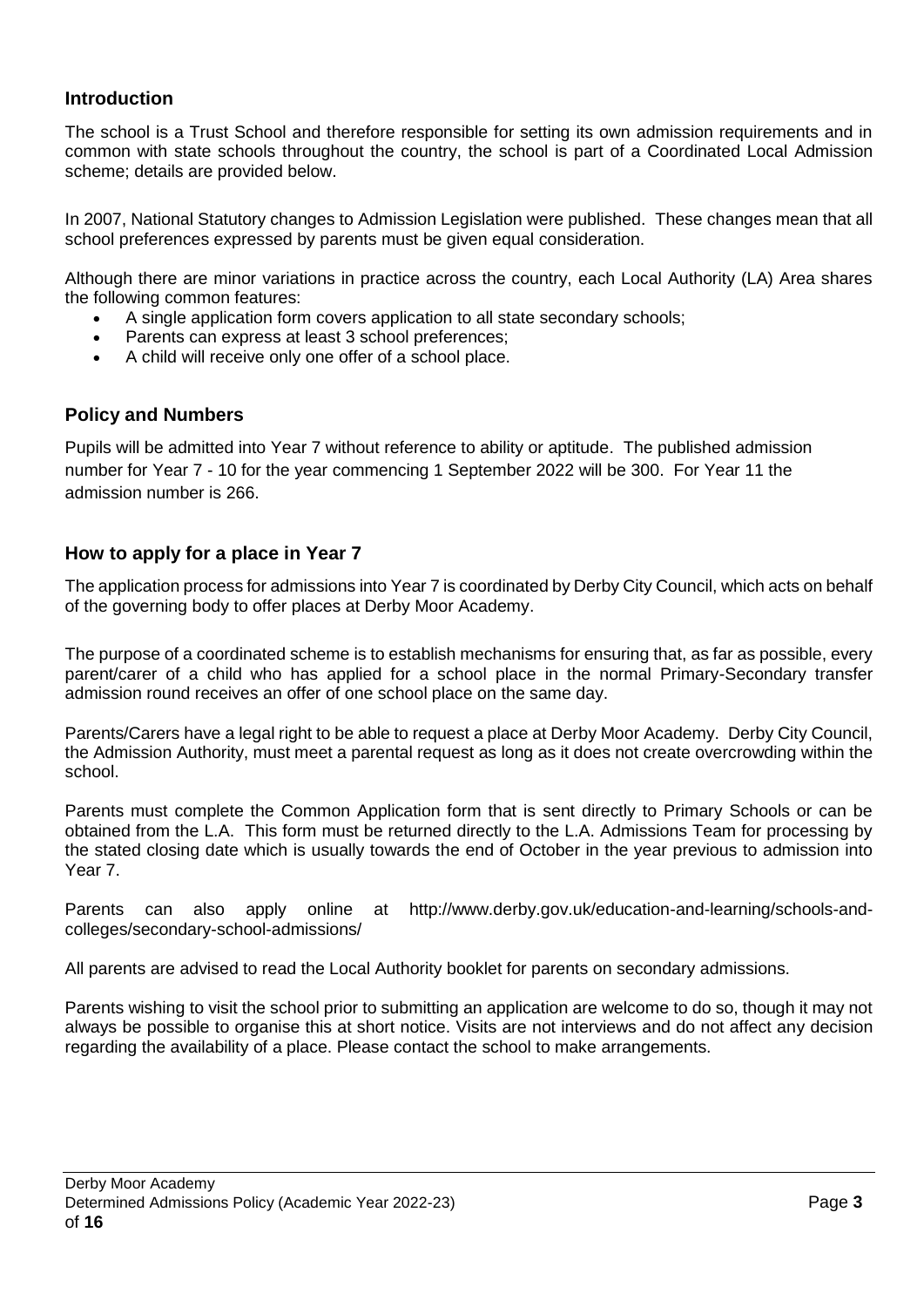# <span id="page-2-0"></span>**Introduction**

The school is a Trust School and therefore responsible for setting its own admission requirements and in common with state schools throughout the country, the school is part of a Coordinated Local Admission scheme; details are provided below.

In 2007, National Statutory changes to Admission Legislation were published. These changes mean that all school preferences expressed by parents must be given equal consideration.

Although there are minor variations in practice across the country, each Local Authority (LA) Area shares the following common features:

- A single application form covers application to all state secondary schools;
- Parents can express at least 3 school preferences;
- A child will receive only one offer of a school place.

# <span id="page-2-1"></span>**Policy and Numbers**

Pupils will be admitted into Year 7 without reference to ability or aptitude. The published admission number for Year 7 - 10 for the year commencing 1 September 2022 will be 300. For Year 11 the admission number is 266.

# <span id="page-2-2"></span>**How to apply for a place in Year 7**

The application process for admissions into Year 7 is coordinated by Derby City Council, which acts on behalf of the governing body to offer places at Derby Moor Academy.

The purpose of a coordinated scheme is to establish mechanisms for ensuring that, as far as possible, every parent/carer of a child who has applied for a school place in the normal Primary-Secondary transfer admission round receives an offer of one school place on the same day.

Parents/Carers have a legal right to be able to request a place at Derby Moor Academy. Derby City Council, the Admission Authority, must meet a parental request as long as it does not create overcrowding within the school.

Parents must complete the Common Application form that is sent directly to Primary Schools or can be obtained from the L.A. This form must be returned directly to the L.A. Admissions Team for processing by the stated closing date which is usually towards the end of October in the year previous to admission into Year 7.

Parents can also apply online at http://www.derby.gov.uk/education-and-learning/schools-andcolleges/secondary-school-admissions/

All parents are advised to read the Local Authority booklet for parents on secondary admissions.

Parents wishing to visit the school prior to submitting an application are welcome to do so, though it may not always be possible to organise this at short notice. Visits are not interviews and do not affect any decision regarding the availability of a place. Please contact the school to make arrangements.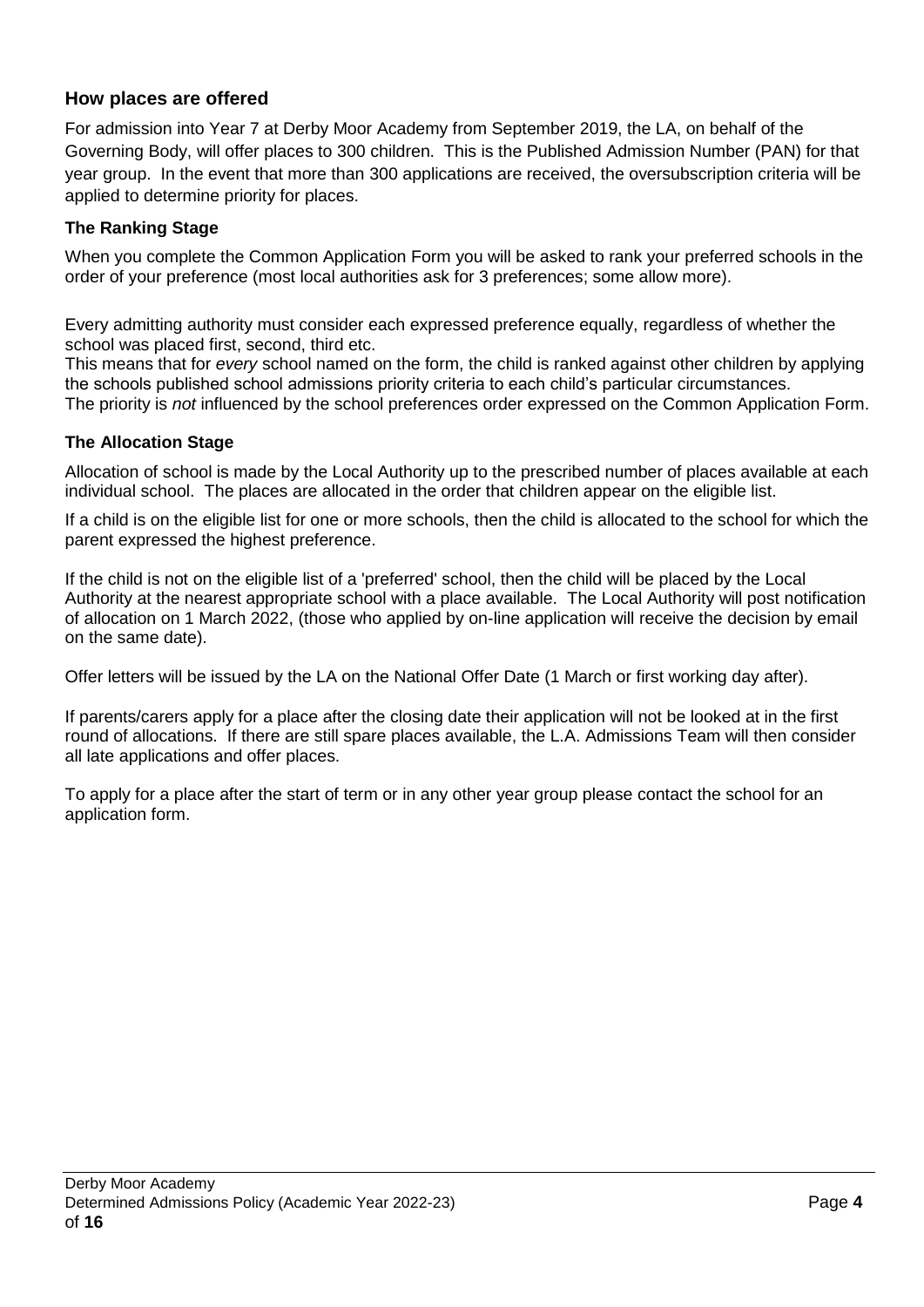# <span id="page-3-0"></span>**How places are offered**

For admission into Year 7 at Derby Moor Academy from September 2019, the LA, on behalf of the Governing Body, will offer places to 300 children. This is the Published Admission Number (PAN) for that year group. In the event that more than 300 applications are received, the oversubscription criteria will be applied to determine priority for places.

# **The Ranking Stage**

When you complete the Common Application Form you will be asked to rank your preferred schools in the order of your preference (most local authorities ask for 3 preferences; some allow more).

Every admitting authority must consider each expressed preference equally, regardless of whether the school was placed first, second, third etc.

This means that for *every* school named on the form, the child is ranked against other children by applying the schools published school admissions priority criteria to each child's particular circumstances.

The priority is *not* influenced by the school preferences order expressed on the Common Application Form.

# **The Allocation Stage**

Allocation of school is made by the Local Authority up to the prescribed number of places available at each individual school. The places are allocated in the order that children appear on the eligible list.

If a child is on the eligible list for one or more schools, then the child is allocated to the school for which the parent expressed the highest preference.

If the child is not on the eligible list of a 'preferred' school, then the child will be placed by the Local Authority at the nearest appropriate school with a place available. The Local Authority will post notification of allocation on 1 March 2022, (those who applied by on-line application will receive the decision by email on the same date).

Offer letters will be issued by the LA on the National Offer Date (1 March or first working day after).

If parents/carers apply for a place after the closing date their application will not be looked at in the first round of allocations. If there are still spare places available, the L.A. Admissions Team will then consider all late applications and offer places.

<span id="page-3-1"></span>To apply for a place after the start of term or in any other year group please contact the school for an application form.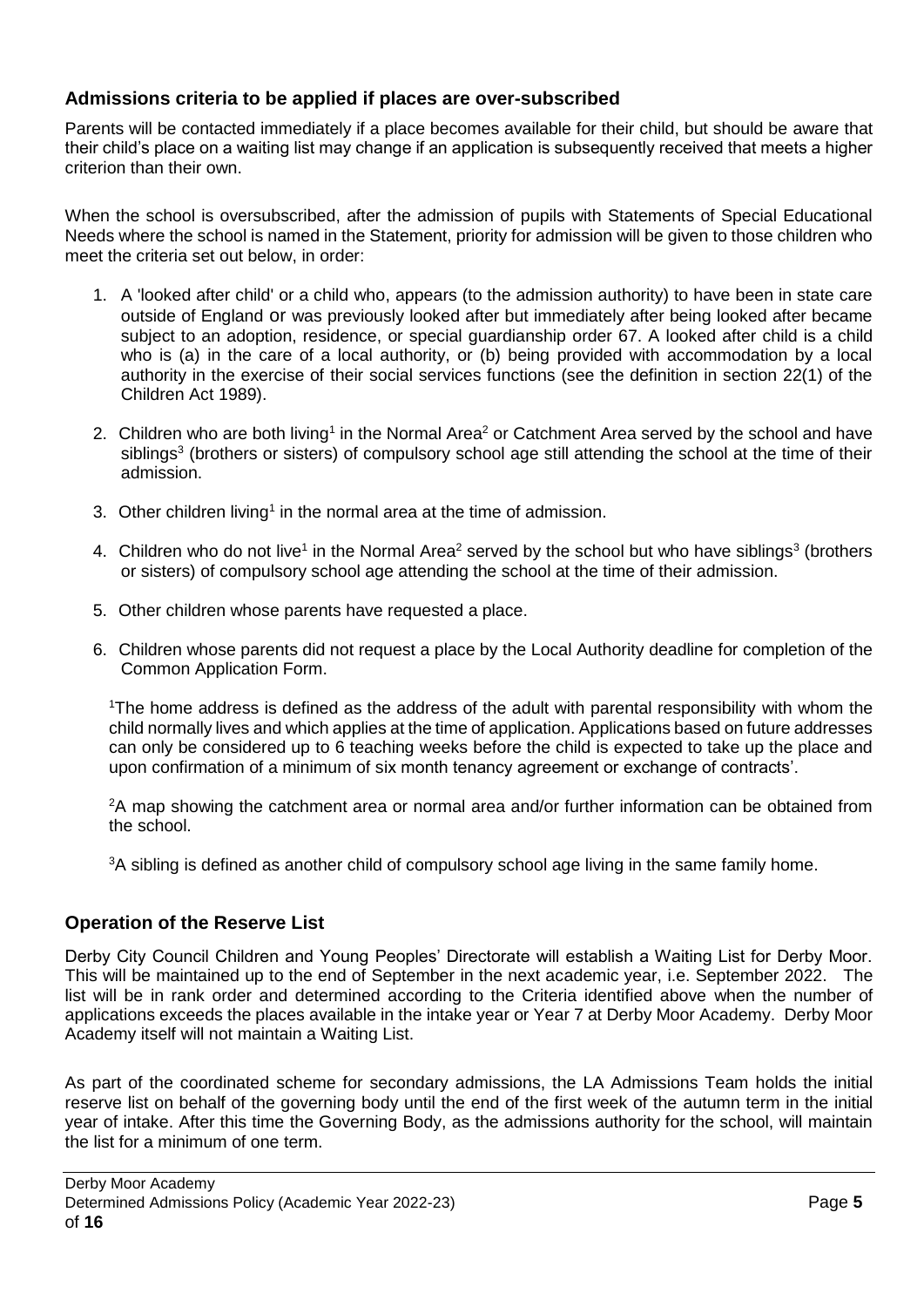# **Admissions criteria to be applied if places are over-subscribed**

Parents will be contacted immediately if a place becomes available for their child, but should be aware that their child's place on a waiting list may change if an application is subsequently received that meets a higher criterion than their own.

When the school is oversubscribed, after the admission of pupils with Statements of Special Educational Needs where the school is named in the Statement, priority for admission will be given to those children who meet the criteria set out below, in order:

- 1. A 'looked after child' or a child who, appears (to the admission authority) to have been in state care outside of England or was previously looked after but immediately after being looked after became subject to an adoption, residence, or special guardianship order 67. A looked after child is a child who is (a) in the care of a local authority, or (b) being provided with accommodation by a local authority in the exercise of their social services functions (see the definition in section 22(1) of the Children Act 1989).
- 2. Children who are both living<sup>1</sup> in the Normal Area<sup>2</sup> or Catchment Area served by the school and have siblings<sup>3</sup> (brothers or sisters) of compulsory school age still attending the school at the time of their admission.
- 3. Other children living<sup>1</sup> in the normal area at the time of admission.
- 4. Children who do not live<sup>1</sup> in the Normal Area<sup>2</sup> served by the school but who have siblings<sup>3</sup> (brothers or sisters) of compulsory school age attending the school at the time of their admission.
- 5. Other children whose parents have requested a place.
- 6. Children whose parents did not request a place by the Local Authority deadline for completion of the Common Application Form.

<sup>1</sup>The home address is defined as the address of the adult with parental responsibility with whom the child normally lives and which applies at the time of application. Applications based on future addresses can only be considered up to 6 teaching weeks before the child is expected to take up the place and upon confirmation of a minimum of six month tenancy agreement or exchange of contracts'.

 $2A$  map showing the catchment area or normal area and/or further information can be obtained from the school.

<sup>3</sup>A sibling is defined as another child of compulsory school age living in the same family home.

# <span id="page-4-0"></span>**Operation of the Reserve List**

Derby City Council Children and Young Peoples' Directorate will establish a Waiting List for Derby Moor. This will be maintained up to the end of September in the next academic year, i.e. September 2022. The list will be in rank order and determined according to the Criteria identified above when the number of applications exceeds the places available in the intake year or Year 7 at Derby Moor Academy. Derby Moor Academy itself will not maintain a Waiting List.

As part of the coordinated scheme for secondary admissions, the LA Admissions Team holds the initial reserve list on behalf of the governing body until the end of the first week of the autumn term in the initial year of intake. After this time the Governing Body, as the admissions authority for the school, will maintain the list for a minimum of one term.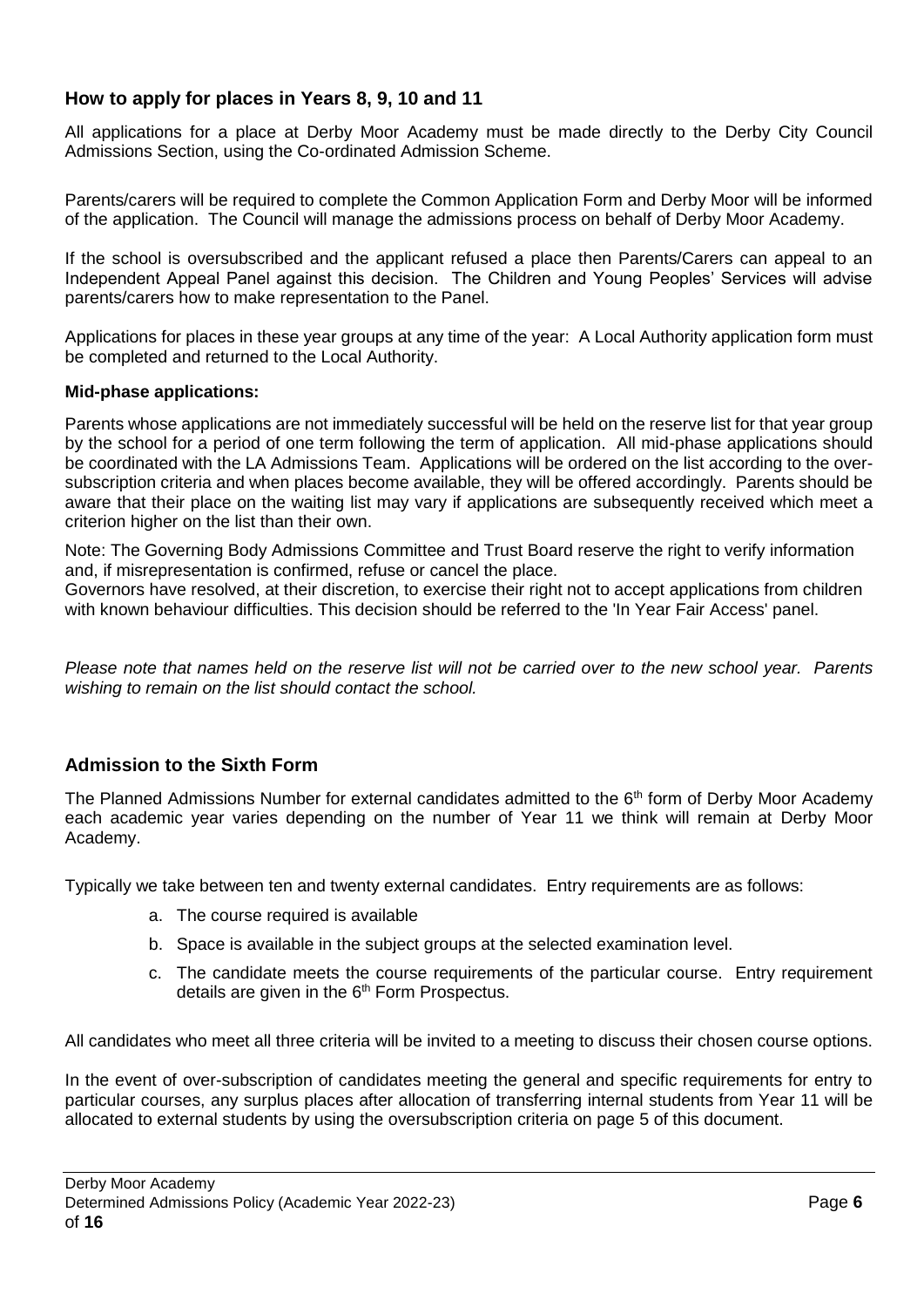# <span id="page-5-0"></span>**How to apply for places in Years 8, 9, 10 and 11**

All applications for a place at Derby Moor Academy must be made directly to the Derby City Council Admissions Section, using the Co-ordinated Admission Scheme.

Parents/carers will be required to complete the Common Application Form and Derby Moor will be informed of the application. The Council will manage the admissions process on behalf of Derby Moor Academy.

If the school is oversubscribed and the applicant refused a place then Parents/Carers can appeal to an Independent Appeal Panel against this decision. The Children and Young Peoples' Services will advise parents/carers how to make representation to the Panel.

Applications for places in these year groups at any time of the year: A Local Authority application form must be completed and returned to the Local Authority.

## <span id="page-5-1"></span>**Mid-phase applications:**

Parents whose applications are not immediately successful will be held on the reserve list for that year group by the school for a period of one term following the term of application. All mid-phase applications should be coordinated with the LA Admissions Team. Applications will be ordered on the list according to the oversubscription criteria and when places become available, they will be offered accordingly. Parents should be aware that their place on the waiting list may vary if applications are subsequently received which meet a criterion higher on the list than their own.

Note: The Governing Body Admissions Committee and Trust Board reserve the right to verify information and, if misrepresentation is confirmed, refuse or cancel the place.

Governors have resolved, at their discretion, to exercise their right not to accept applications from children with known behaviour difficulties. This decision should be referred to the 'In Year Fair Access' panel.

*Please note that names held on the reserve list will not be carried over to the new school year. Parents wishing to remain on the list should contact the school.*

# <span id="page-5-2"></span>**Admission to the Sixth Form**

The Planned Admissions Number for external candidates admitted to the  $6<sup>th</sup>$  form of Derby Moor Academy each academic year varies depending on the number of Year 11 we think will remain at Derby Moor Academy.

Typically we take between ten and twenty external candidates. Entry requirements are as follows:

- a. The course required is available
- b. Space is available in the subject groups at the selected examination level.
- c. The candidate meets the course requirements of the particular course. Entry requirement details are given in the 6<sup>th</sup> Form Prospectus.

All candidates who meet all three criteria will be invited to a meeting to discuss their chosen course options.

In the event of over-subscription of candidates meeting the general and specific requirements for entry to particular courses, any surplus places after allocation of transferring internal students from Year 11 will be allocated to external students by using the oversubscription criteria on page 5 of this document.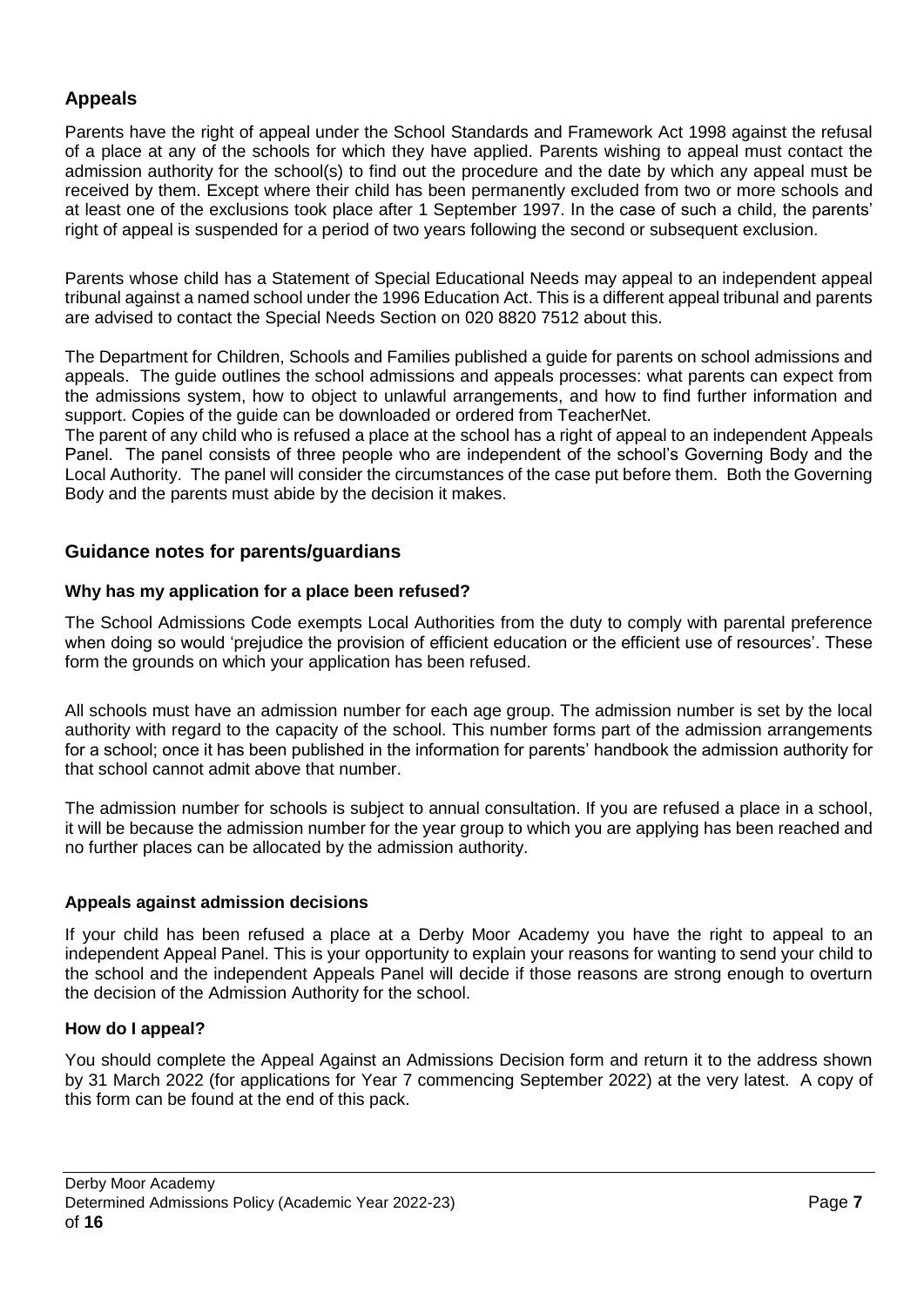# <span id="page-6-0"></span>**Appeals**

Parents have the right of appeal under the School Standards and Framework Act 1998 against the refusal of a place at any of the schools for which they have applied. Parents wishing to appeal must contact the admission authority for the school(s) to find out the procedure and the date by which any appeal must be received by them. Except where their child has been permanently excluded from two or more schools and at least one of the exclusions took place after 1 September 1997. In the case of such a child, the parents' right of appeal is suspended for a period of two years following the second or subsequent exclusion.

Parents whose child has a Statement of Special Educational Needs may appeal to an independent appeal tribunal against a named school under the 1996 Education Act. This is a different appeal tribunal and parents are advised to contact the Special Needs Section on 020 8820 7512 about this.

The Department for Children, Schools and Families published a guide for parents on school admissions and appeals. The guide outlines the school admissions and appeals processes: what parents can expect from the admissions system, how to object to unlawful arrangements, and how to find further information and support. Copies of the guide can be downloaded or ordered from TeacherNet.

The parent of any child who is refused a place at the school has a right of appeal to an independent Appeals Panel. The panel consists of three people who are independent of the school's Governing Body and the Local Authority. The panel will consider the circumstances of the case put before them. Both the Governing Body and the parents must abide by the decision it makes.

# <span id="page-6-1"></span>**Guidance notes for parents/guardians**

# <span id="page-6-2"></span>**Why has my application for a place been refused?**

The School Admissions Code exempts Local Authorities from the duty to comply with parental preference when doing so would 'prejudice the provision of efficient education or the efficient use of resources'. These form the grounds on which your application has been refused.

All schools must have an admission number for each age group. The admission number is set by the local authority with regard to the capacity of the school. This number forms part of the admission arrangements for a school; once it has been published in the information for parents' handbook the admission authority for that school cannot admit above that number.

The admission number for schools is subject to annual consultation. If you are refused a place in a school, it will be because the admission number for the year group to which you are applying has been reached and no further places can be allocated by the admission authority.

# <span id="page-6-3"></span>**Appeals against admission decisions**

If your child has been refused a place at a Derby Moor Academy you have the right to appeal to an independent Appeal Panel. This is your opportunity to explain your reasons for wanting to send your child to the school and the independent Appeals Panel will decide if those reasons are strong enough to overturn the decision of the Admission Authority for the school.

## <span id="page-6-4"></span>**How do I appeal?**

You should complete the Appeal Against an Admissions Decision form and return it to the address shown by 31 March 2022 (for applications for Year 7 commencing September 2022) at the very latest. A copy of this form can be found at the end of this pack.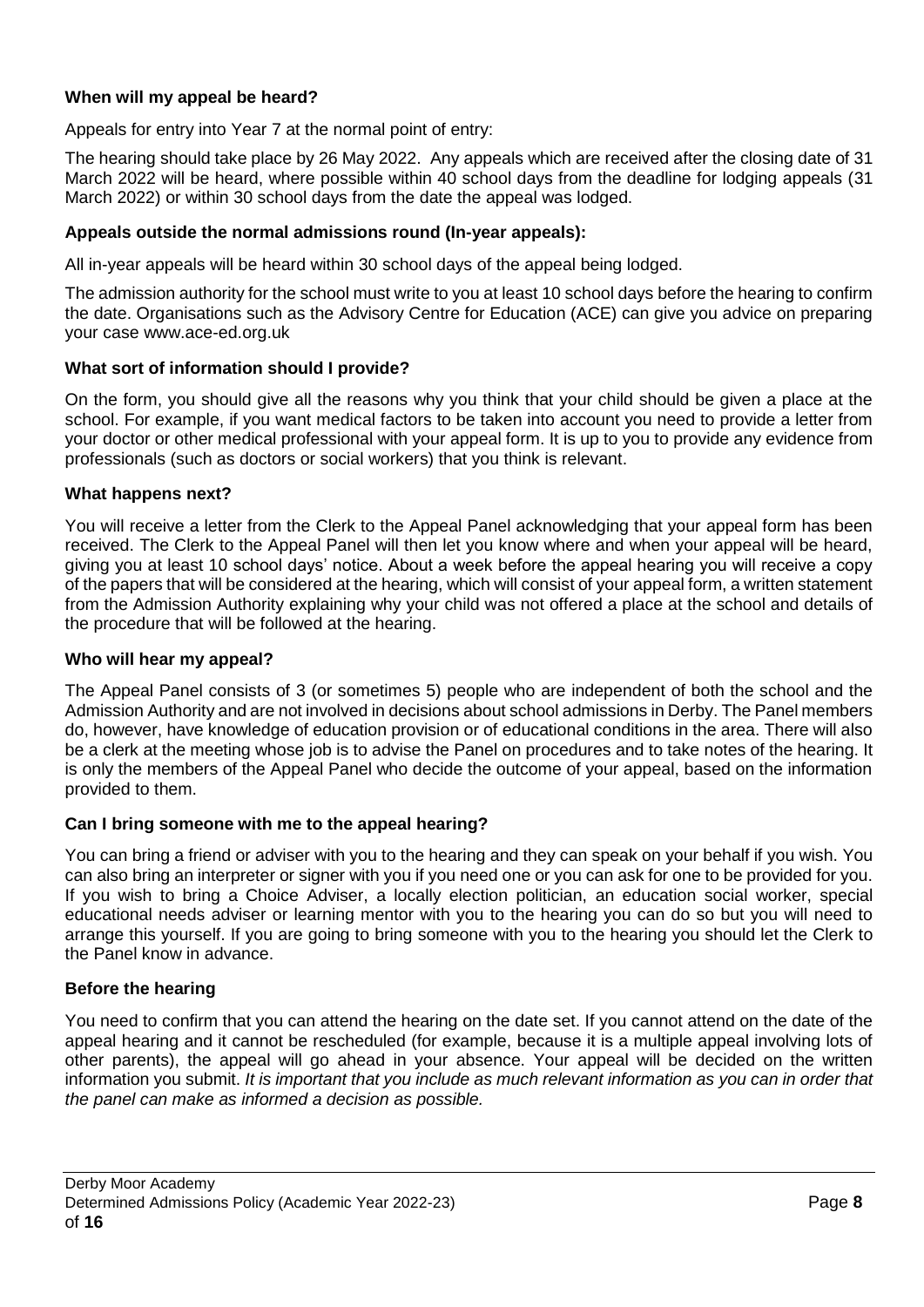# <span id="page-7-0"></span>**When will my appeal be heard?**

Appeals for entry into Year 7 at the normal point of entry:

The hearing should take place by 26 May 2022. Any appeals which are received after the closing date of 31 March 2022 will be heard, where possible within 40 school days from the deadline for lodging appeals (31 March 2022) or within 30 school days from the date the appeal was lodged.

#### <span id="page-7-1"></span>**Appeals outside the normal admissions round (In-year appeals):**

All in-year appeals will be heard within 30 school days of the appeal being lodged.

The admission authority for the school must write to you at least 10 school days before the hearing to confirm the date. Organisations such as the Advisory Centre for Education (ACE) can give you advice on preparing your case www.ace-ed.org.uk

#### <span id="page-7-2"></span>**What sort of information should I provide?**

On the form, you should give all the reasons why you think that your child should be given a place at the school. For example, if you want medical factors to be taken into account you need to provide a letter from your doctor or other medical professional with your appeal form. It is up to you to provide any evidence from professionals (such as doctors or social workers) that you think is relevant.

#### <span id="page-7-3"></span>**What happens next?**

You will receive a letter from the Clerk to the Appeal Panel acknowledging that your appeal form has been received. The Clerk to the Appeal Panel will then let you know where and when your appeal will be heard, giving you at least 10 school days' notice. About a week before the appeal hearing you will receive a copy of the papers that will be considered at the hearing, which will consist of your appeal form, a written statement from the Admission Authority explaining why your child was not offered a place at the school and details of the procedure that will be followed at the hearing.

#### <span id="page-7-4"></span>**Who will hear my appeal?**

The Appeal Panel consists of 3 (or sometimes 5) people who are independent of both the school and the Admission Authority and are not involved in decisions about school admissions in Derby. The Panel members do, however, have knowledge of education provision or of educational conditions in the area. There will also be a clerk at the meeting whose job is to advise the Panel on procedures and to take notes of the hearing. It is only the members of the Appeal Panel who decide the outcome of your appeal, based on the information provided to them.

## <span id="page-7-5"></span>**Can I bring someone with me to the appeal hearing?**

You can bring a friend or adviser with you to the hearing and they can speak on your behalf if you wish. You can also bring an interpreter or signer with you if you need one or you can ask for one to be provided for you. If you wish to bring a Choice Adviser, a locally election politician, an education social worker, special educational needs adviser or learning mentor with you to the hearing you can do so but you will need to arrange this yourself. If you are going to bring someone with you to the hearing you should let the Clerk to the Panel know in advance.

## <span id="page-7-6"></span>**Before the hearing**

You need to confirm that you can attend the hearing on the date set. If you cannot attend on the date of the appeal hearing and it cannot be rescheduled (for example, because it is a multiple appeal involving lots of other parents), the appeal will go ahead in your absence. Your appeal will be decided on the written information you submit. *It is important that you include as much relevant information as you can in order that the panel can make as informed a decision as possible.*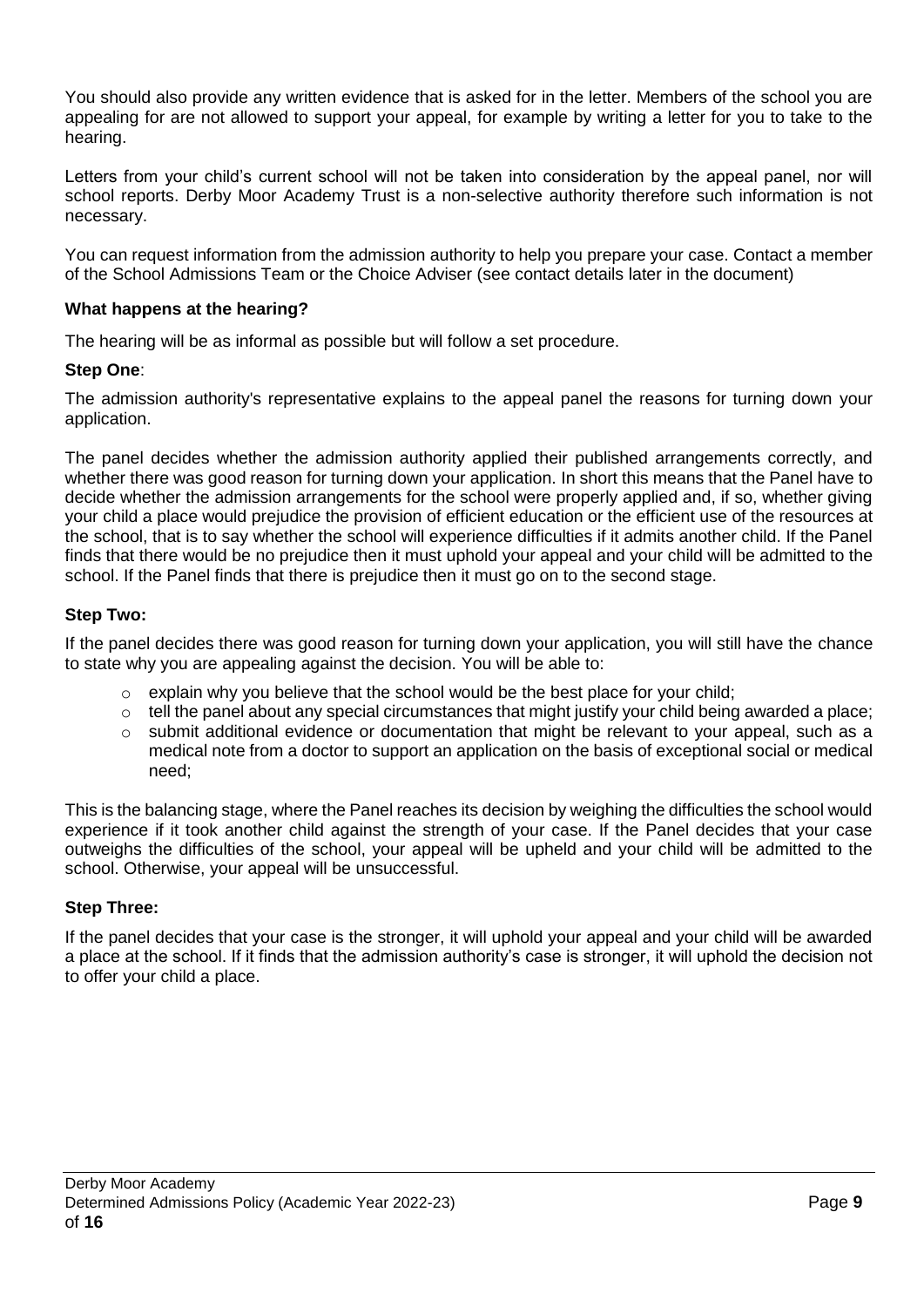You should also provide any written evidence that is asked for in the letter. Members of the school you are appealing for are not allowed to support your appeal, for example by writing a letter for you to take to the hearing.

Letters from your child's current school will not be taken into consideration by the appeal panel, nor will school reports. Derby Moor Academy Trust is a non-selective authority therefore such information is not necessary.

You can request information from the admission authority to help you prepare your case. Contact a member of the School Admissions Team or the Choice Adviser (see contact details later in the document)

# <span id="page-8-0"></span>**What happens at the hearing?**

The hearing will be as informal as possible but will follow a set procedure.

# **Step One**:

The admission authority's representative explains to the appeal panel the reasons for turning down your application.

The panel decides whether the admission authority applied their published arrangements correctly, and whether there was good reason for turning down your application. In short this means that the Panel have to decide whether the admission arrangements for the school were properly applied and, if so, whether giving your child a place would prejudice the provision of efficient education or the efficient use of the resources at the school, that is to say whether the school will experience difficulties if it admits another child. If the Panel finds that there would be no prejudice then it must uphold your appeal and your child will be admitted to the school. If the Panel finds that there is prejudice then it must go on to the second stage.

# **Step Two:**

If the panel decides there was good reason for turning down your application, you will still have the chance to state why you are appealing against the decision. You will be able to:

- $\circ$  explain why you believe that the school would be the best place for your child;
- $\circ$  tell the panel about any special circumstances that might justify your child being awarded a place;
- $\circ$  submit additional evidence or documentation that might be relevant to your appeal, such as a medical note from a doctor to support an application on the basis of exceptional social or medical need;

This is the balancing stage, where the Panel reaches its decision by weighing the difficulties the school would experience if it took another child against the strength of your case. If the Panel decides that your case outweighs the difficulties of the school, your appeal will be upheld and your child will be admitted to the school. Otherwise, your appeal will be unsuccessful.

# **Step Three:**

If the panel decides that your case is the stronger, it will uphold your appeal and your child will be awarded a place at the school. If it finds that the admission authority's case is stronger, it will uphold the decision not to offer your child a place.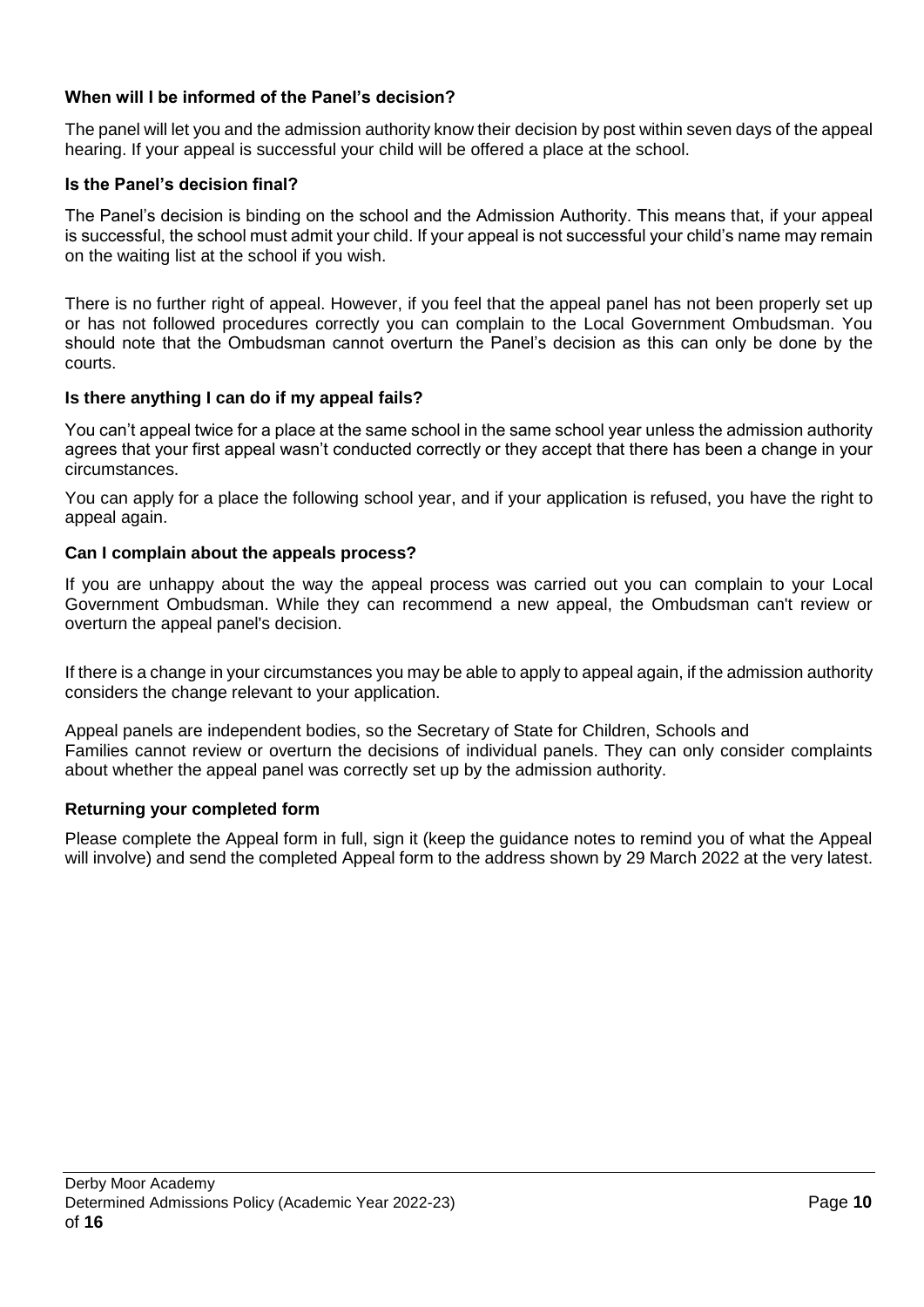# <span id="page-9-0"></span>**When will I be informed of the Panel's decision?**

The panel will let you and the admission authority know their decision by post within seven days of the appeal hearing. If your appeal is successful your child will be offered a place at the school.

#### <span id="page-9-1"></span>**Is the Panel's decision final?**

The Panel's decision is binding on the school and the Admission Authority. This means that, if your appeal is successful, the school must admit your child. If your appeal is not successful your child's name may remain on the waiting list at the school if you wish.

There is no further right of appeal. However, if you feel that the appeal panel has not been properly set up or has not followed procedures correctly you can complain to the Local Government Ombudsman. You should note that the Ombudsman cannot overturn the Panel's decision as this can only be done by the courts.

#### <span id="page-9-2"></span>**Is there anything I can do if my appeal fails?**

You can't appeal twice for a place at the same school in the same school year unless the admission authority agrees that your first appeal wasn't conducted correctly or they accept that there has been a change in your circumstances.

You can apply for a place the following school year, and if your application is refused, you have the right to appeal again.

#### <span id="page-9-3"></span>**Can I complain about the appeals process?**

If you are unhappy about the way the appeal process was carried out you can complain to your Local Government Ombudsman. While they can recommend a new appeal, the Ombudsman can't review or overturn the appeal panel's decision.

If there is a change in your circumstances you may be able to apply to appeal again, if the admission authority considers the change relevant to your application.

Appeal panels are independent bodies, so the Secretary of State for Children, Schools and Families cannot review or overturn the decisions of individual panels. They can only consider complaints about whether the appeal panel was correctly set up by the admission authority.

## **Returning your completed form**

<span id="page-9-4"></span>Please complete the Appeal form in full, sign it (keep the guidance notes to remind you of what the Appeal will involve) and send the completed Appeal form to the address shown by 29 March 2022 at the very latest.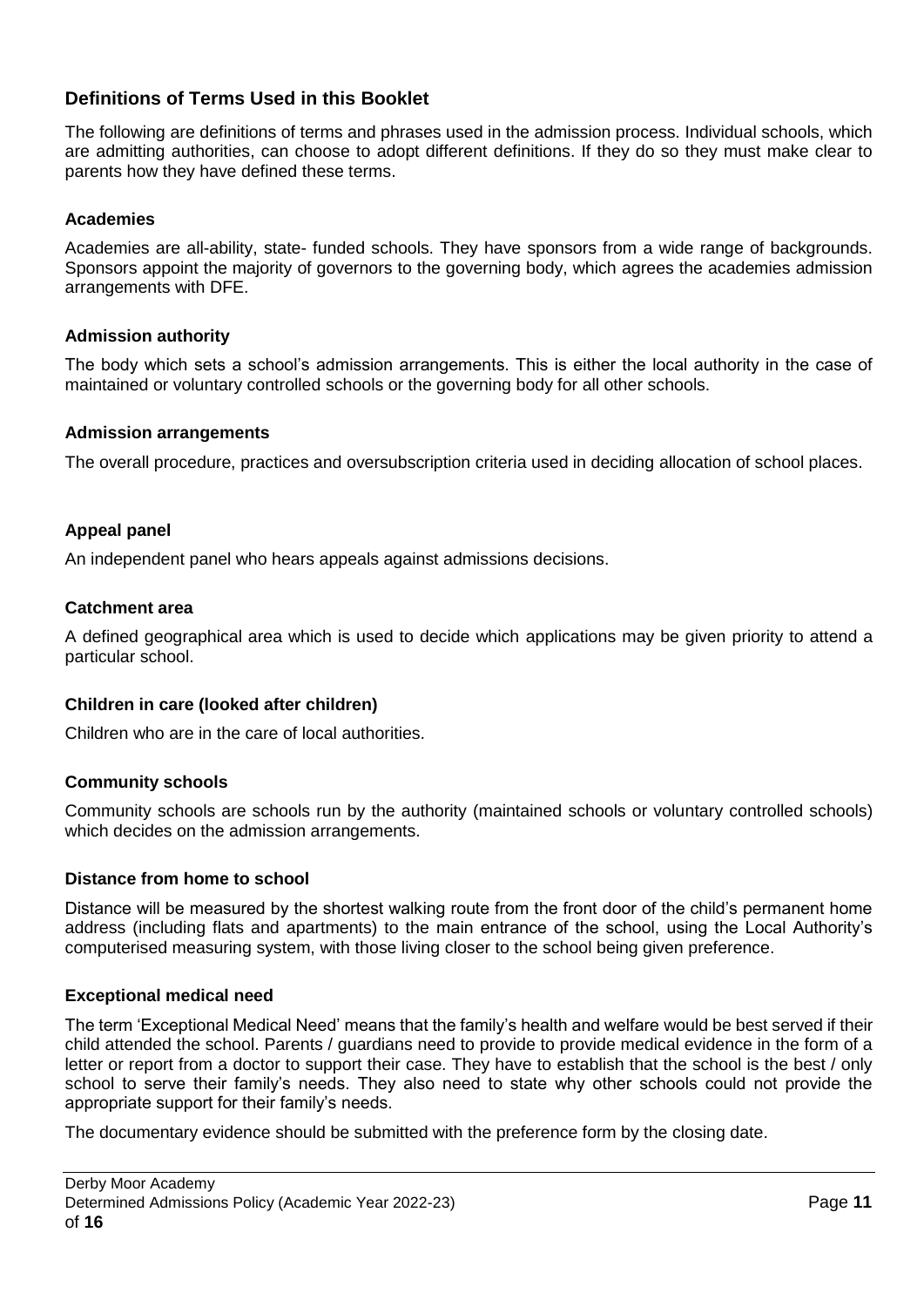# **Definitions of Terms Used in this Booklet**

The following are definitions of terms and phrases used in the admission process. Individual schools, which are admitting authorities, can choose to adopt different definitions. If they do so they must make clear to parents how they have defined these terms.

# **Academies**

Academies are all-ability, state- funded schools. They have sponsors from a wide range of backgrounds. Sponsors appoint the majority of governors to the governing body, which agrees the academies admission arrangements with DFE.

# **Admission authority**

The body which sets a school's admission arrangements. This is either the local authority in the case of maintained or voluntary controlled schools or the governing body for all other schools.

## **Admission arrangements**

The overall procedure, practices and oversubscription criteria used in deciding allocation of school places.

# **Appeal panel**

An independent panel who hears appeals against admissions decisions.

## **Catchment area**

A defined geographical area which is used to decide which applications may be given priority to attend a particular school.

## **Children in care (looked after children)**

Children who are in the care of local authorities.

## **Community schools**

Community schools are schools run by the authority (maintained schools or voluntary controlled schools) which decides on the admission arrangements.

## **Distance from home to school**

Distance will be measured by the shortest walking route from the front door of the child's permanent home address (including flats and apartments) to the main entrance of the school, using the Local Authority's computerised measuring system, with those living closer to the school being given preference.

## **Exceptional medical need**

The term 'Exceptional Medical Need' means that the family's health and welfare would be best served if their child attended the school. Parents / guardians need to provide to provide medical evidence in the form of a letter or report from a doctor to support their case. They have to establish that the school is the best / only school to serve their family's needs. They also need to state why other schools could not provide the appropriate support for their family's needs.

The documentary evidence should be submitted with the preference form by the closing date.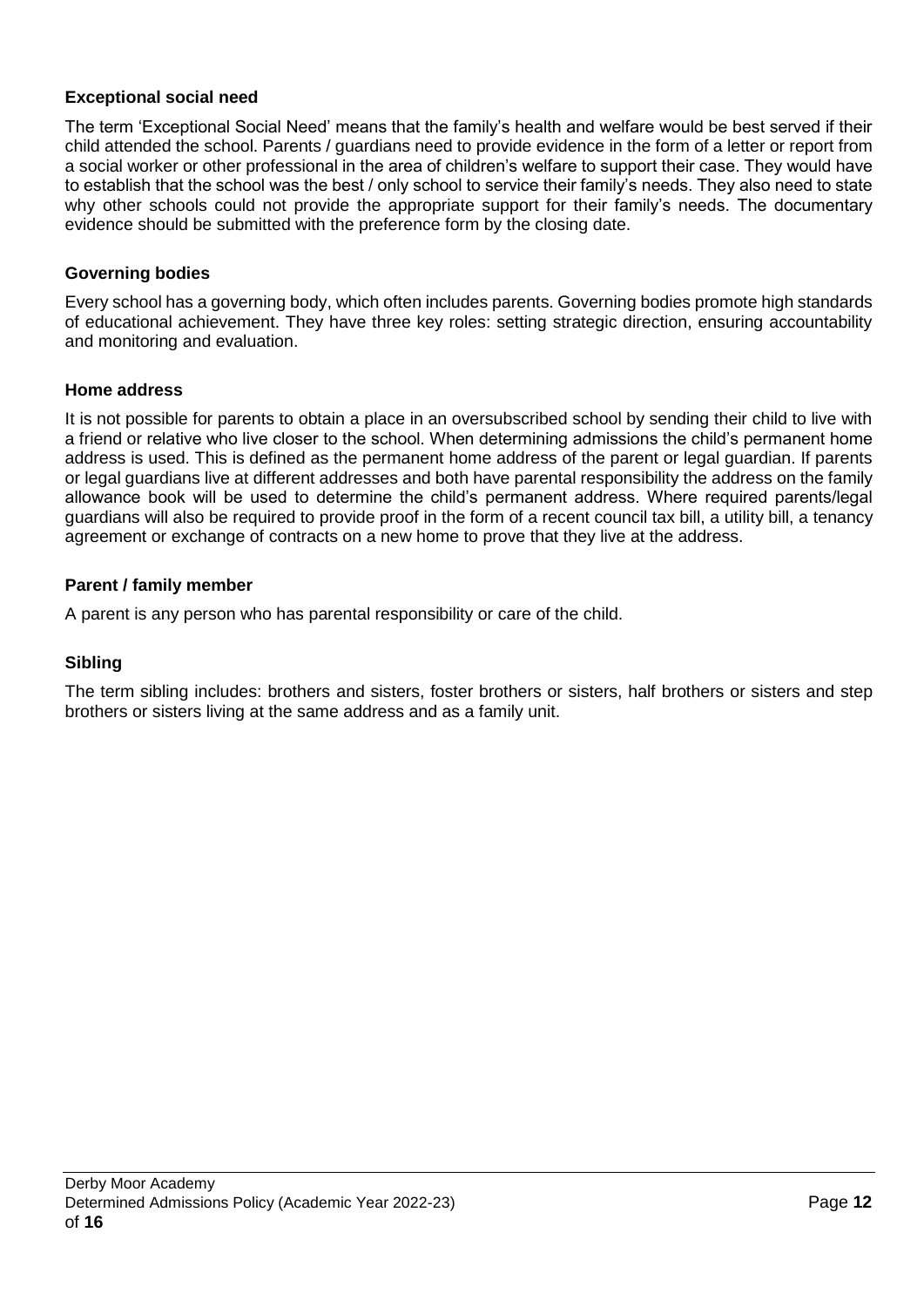# **Exceptional social need**

The term 'Exceptional Social Need' means that the family's health and welfare would be best served if their child attended the school. Parents / guardians need to provide evidence in the form of a letter or report from a social worker or other professional in the area of children's welfare to support their case. They would have to establish that the school was the best / only school to service their family's needs. They also need to state why other schools could not provide the appropriate support for their family's needs. The documentary evidence should be submitted with the preference form by the closing date.

# **Governing bodies**

Every school has a governing body, which often includes parents. Governing bodies promote high standards of educational achievement. They have three key roles: setting strategic direction, ensuring accountability and monitoring and evaluation.

## **Home address**

It is not possible for parents to obtain a place in an oversubscribed school by sending their child to live with a friend or relative who live closer to the school. When determining admissions the child's permanent home address is used. This is defined as the permanent home address of the parent or legal guardian. If parents or legal guardians live at different addresses and both have parental responsibility the address on the family allowance book will be used to determine the child's permanent address. Where required parents/legal guardians will also be required to provide proof in the form of a recent council tax bill, a utility bill, a tenancy agreement or exchange of contracts on a new home to prove that they live at the address.

## **Parent / family member**

A parent is any person who has parental responsibility or care of the child.

# **Sibling**

The term sibling includes: brothers and sisters, foster brothers or sisters, half brothers or sisters and step brothers or sisters living at the same address and as a family unit.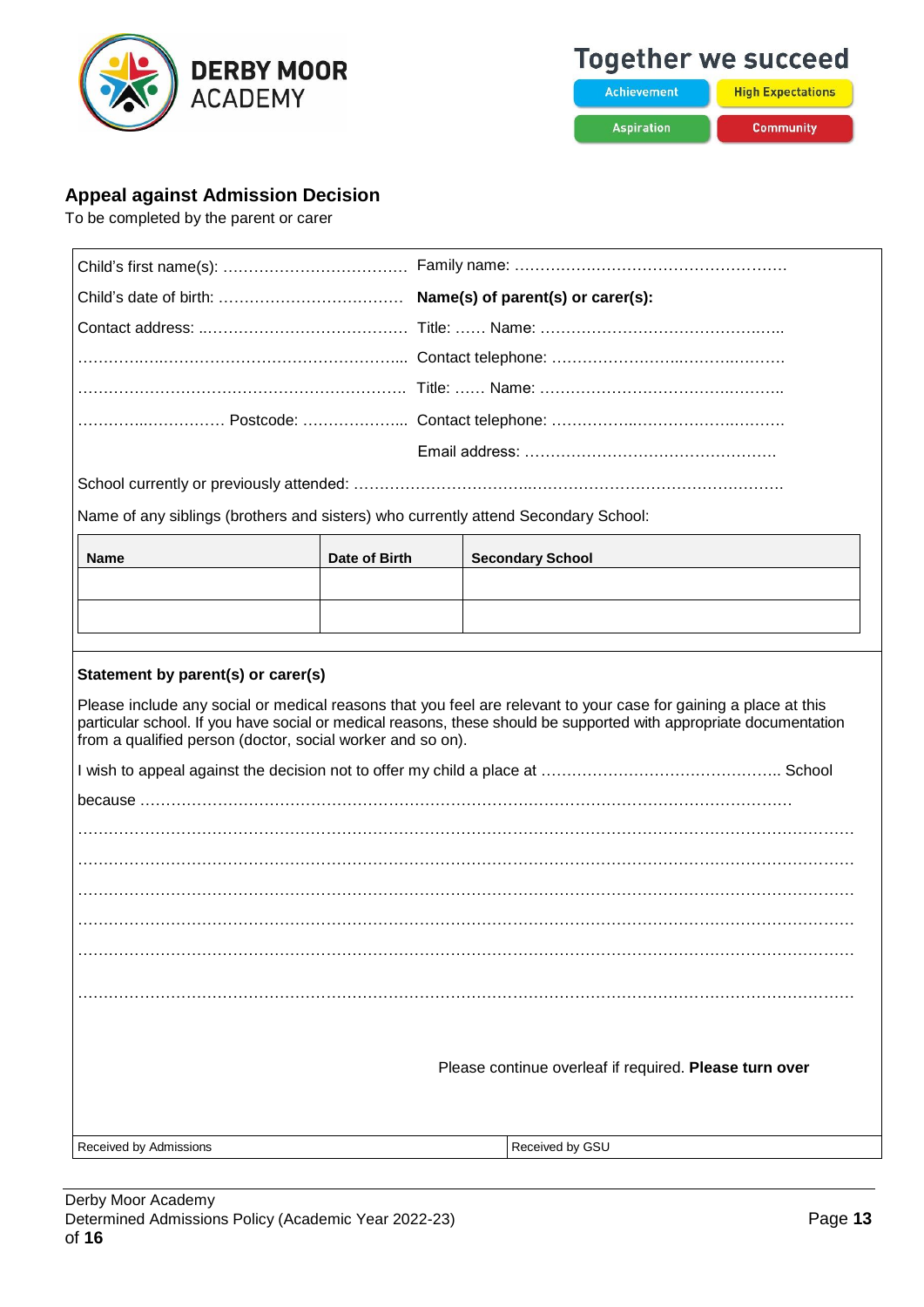

# **Together we succeed**

**Achievement Aspiration** 

**High Expectations** Community

# <span id="page-12-0"></span>**Appeal against Admission Decision**

To be completed by the parent or carer

| Name of any siblings (brothers and sisters) who currently attend Secondary School:                                                                                                                                                                                                                   |               |                         |  |  |
|------------------------------------------------------------------------------------------------------------------------------------------------------------------------------------------------------------------------------------------------------------------------------------------------------|---------------|-------------------------|--|--|
| <b>Name</b>                                                                                                                                                                                                                                                                                          | Date of Birth | <b>Secondary School</b> |  |  |
|                                                                                                                                                                                                                                                                                                      |               |                         |  |  |
|                                                                                                                                                                                                                                                                                                      |               |                         |  |  |
|                                                                                                                                                                                                                                                                                                      |               |                         |  |  |
| Statement by parent(s) or carer(s)                                                                                                                                                                                                                                                                   |               |                         |  |  |
| Please include any social or medical reasons that you feel are relevant to your case for gaining a place at this<br>particular school. If you have social or medical reasons, these should be supported with appropriate documentation<br>from a qualified person (doctor, social worker and so on). |               |                         |  |  |
|                                                                                                                                                                                                                                                                                                      |               |                         |  |  |
|                                                                                                                                                                                                                                                                                                      |               |                         |  |  |
|                                                                                                                                                                                                                                                                                                      |               |                         |  |  |
|                                                                                                                                                                                                                                                                                                      |               |                         |  |  |
|                                                                                                                                                                                                                                                                                                      |               |                         |  |  |
|                                                                                                                                                                                                                                                                                                      |               |                         |  |  |
|                                                                                                                                                                                                                                                                                                      |               |                         |  |  |
|                                                                                                                                                                                                                                                                                                      |               |                         |  |  |
|                                                                                                                                                                                                                                                                                                      |               |                         |  |  |
|                                                                                                                                                                                                                                                                                                      |               |                         |  |  |
| Please continue overleaf if required. Please turn over                                                                                                                                                                                                                                               |               |                         |  |  |
|                                                                                                                                                                                                                                                                                                      |               |                         |  |  |
| Received by Admissions                                                                                                                                                                                                                                                                               |               | Received by GSU         |  |  |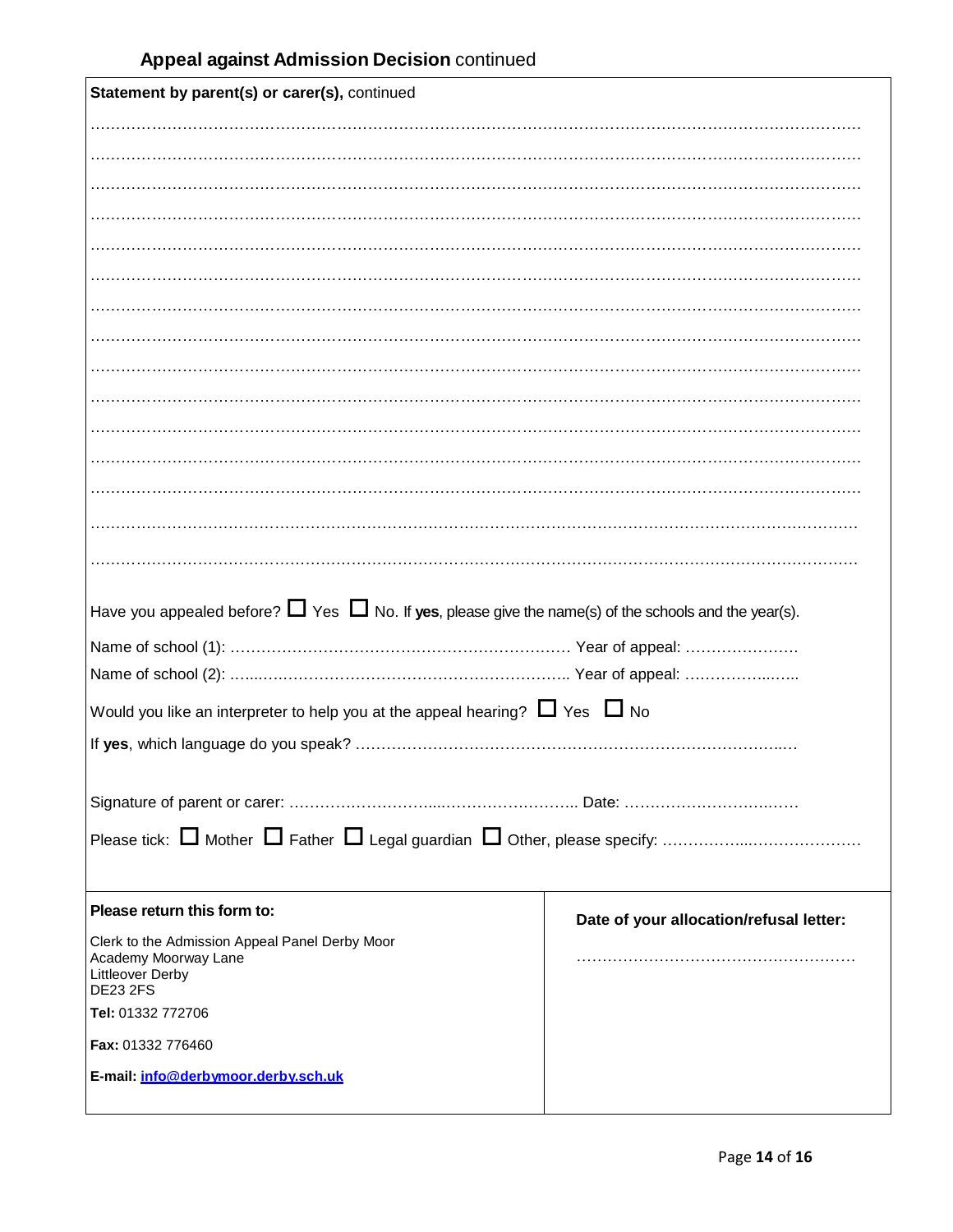| Statement by parent(s) or carer(s), continued                                                                   |                                         |  |  |  |
|-----------------------------------------------------------------------------------------------------------------|-----------------------------------------|--|--|--|
|                                                                                                                 |                                         |  |  |  |
|                                                                                                                 |                                         |  |  |  |
|                                                                                                                 |                                         |  |  |  |
|                                                                                                                 |                                         |  |  |  |
|                                                                                                                 |                                         |  |  |  |
|                                                                                                                 |                                         |  |  |  |
|                                                                                                                 |                                         |  |  |  |
|                                                                                                                 |                                         |  |  |  |
|                                                                                                                 |                                         |  |  |  |
|                                                                                                                 |                                         |  |  |  |
|                                                                                                                 |                                         |  |  |  |
|                                                                                                                 |                                         |  |  |  |
|                                                                                                                 |                                         |  |  |  |
|                                                                                                                 |                                         |  |  |  |
|                                                                                                                 |                                         |  |  |  |
| Have you appealed before? $\Box$ Yes $\Box$ No. If yes, please give the name(s) of the schools and the year(s). |                                         |  |  |  |
|                                                                                                                 |                                         |  |  |  |
|                                                                                                                 |                                         |  |  |  |
| Would you like an interpreter to help you at the appeal hearing? $\Box$ Yes $\Box$ No                           |                                         |  |  |  |
|                                                                                                                 |                                         |  |  |  |
|                                                                                                                 |                                         |  |  |  |
|                                                                                                                 |                                         |  |  |  |
|                                                                                                                 |                                         |  |  |  |
|                                                                                                                 |                                         |  |  |  |
|                                                                                                                 |                                         |  |  |  |
| Please return this form to:                                                                                     | Date of your allocation/refusal letter: |  |  |  |
| Clerk to the Admission Appeal Panel Derby Moor                                                                  |                                         |  |  |  |
| Academy Moorway Lane<br>Littleover Derby                                                                        |                                         |  |  |  |
|                                                                                                                 |                                         |  |  |  |
| <b>DE23 2FS</b><br>Tel: 01332 772706                                                                            |                                         |  |  |  |
| Fax: 01332 776460                                                                                               |                                         |  |  |  |
| E-mail: info@derbymoor.derbv.sch.uk                                                                             |                                         |  |  |  |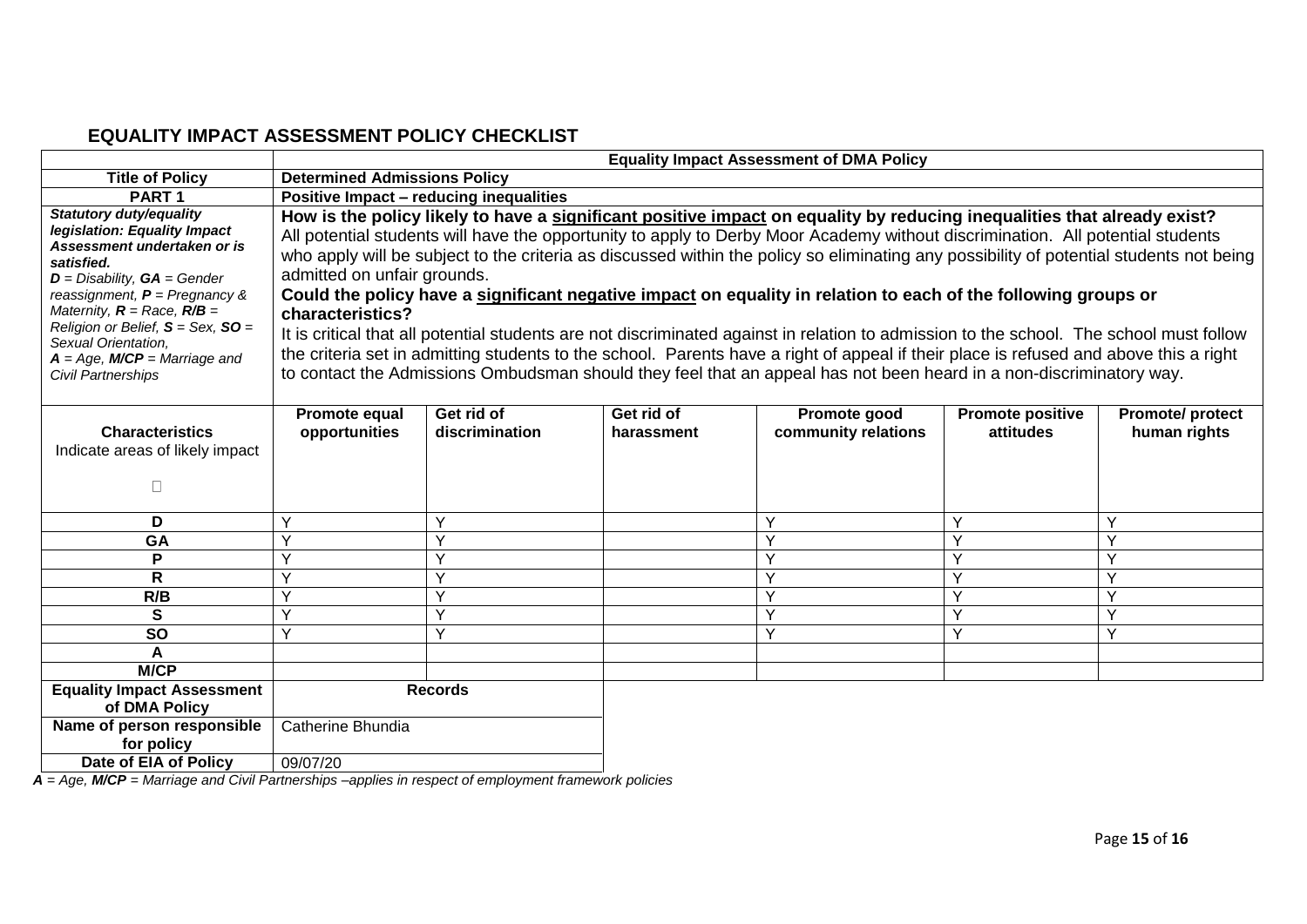# **EQUALITY IMPACT ASSESSMENT POLICY CHECKLIST**

|                                                                                                                                                                                                                                                                                                                                                 | <b>Equality Impact Assessment of DMA Policy</b>                                                                                                                                                                                                                                                                                                                                                                                                                                                                                                                                                                                                                                                                                                                                                                                                                                                                                                                                      |                              |                          |                                     |                                      |                                        |
|-------------------------------------------------------------------------------------------------------------------------------------------------------------------------------------------------------------------------------------------------------------------------------------------------------------------------------------------------|--------------------------------------------------------------------------------------------------------------------------------------------------------------------------------------------------------------------------------------------------------------------------------------------------------------------------------------------------------------------------------------------------------------------------------------------------------------------------------------------------------------------------------------------------------------------------------------------------------------------------------------------------------------------------------------------------------------------------------------------------------------------------------------------------------------------------------------------------------------------------------------------------------------------------------------------------------------------------------------|------------------------------|--------------------------|-------------------------------------|--------------------------------------|----------------------------------------|
| <b>Title of Policy</b>                                                                                                                                                                                                                                                                                                                          | <b>Determined Admissions Policy</b>                                                                                                                                                                                                                                                                                                                                                                                                                                                                                                                                                                                                                                                                                                                                                                                                                                                                                                                                                  |                              |                          |                                     |                                      |                                        |
| PART <sub>1</sub>                                                                                                                                                                                                                                                                                                                               | Positive Impact - reducing inequalities                                                                                                                                                                                                                                                                                                                                                                                                                                                                                                                                                                                                                                                                                                                                                                                                                                                                                                                                              |                              |                          |                                     |                                      |                                        |
| <b>Statutory duty/equality</b><br>legislation: Equality Impact<br>Assessment undertaken or is<br>satisfied.<br>$D =$ Disability, $GA =$ Gender<br>reassignment, $P =$ Pregnancy &<br>Maternity, $R =$ Race, $R/B =$<br>Religion or Belief, $S =$ Sex, $SO =$<br>Sexual Orientation.<br>$A = Age$ , $M/CP =5$ Marriage and<br>Civil Partnerships | How is the policy likely to have a significant positive impact on equality by reducing inequalities that already exist?<br>All potential students will have the opportunity to apply to Derby Moor Academy without discrimination. All potential students<br>who apply will be subject to the criteria as discussed within the policy so eliminating any possibility of potential students not being<br>admitted on unfair grounds.<br>Could the policy have a significant negative impact on equality in relation to each of the following groups or<br>characteristics?<br>It is critical that all potential students are not discriminated against in relation to admission to the school. The school must follow<br>the criteria set in admitting students to the school. Parents have a right of appeal if their place is refused and above this a right<br>to contact the Admissions Ombudsman should they feel that an appeal has not been heard in a non-discriminatory way. |                              |                          |                                     |                                      |                                        |
| <b>Characteristics</b><br>Indicate areas of likely impact<br>П                                                                                                                                                                                                                                                                                  | Promote equal<br>opportunities                                                                                                                                                                                                                                                                                                                                                                                                                                                                                                                                                                                                                                                                                                                                                                                                                                                                                                                                                       | Get rid of<br>discrimination | Get rid of<br>harassment | Promote good<br>community relations | <b>Promote positive</b><br>attitudes | <b>Promote/protect</b><br>human rights |
| D                                                                                                                                                                                                                                                                                                                                               | Υ                                                                                                                                                                                                                                                                                                                                                                                                                                                                                                                                                                                                                                                                                                                                                                                                                                                                                                                                                                                    | Y                            |                          | Y                                   | v                                    | Y                                      |
| GA                                                                                                                                                                                                                                                                                                                                              | $\vee$                                                                                                                                                                                                                                                                                                                                                                                                                                                                                                                                                                                                                                                                                                                                                                                                                                                                                                                                                                               | $\checkmark$                 |                          | $\vee$                              | $\checkmark$                         | $\checkmark$                           |
| P                                                                                                                                                                                                                                                                                                                                               |                                                                                                                                                                                                                                                                                                                                                                                                                                                                                                                                                                                                                                                                                                                                                                                                                                                                                                                                                                                      | $\vee$                       |                          | Y                                   |                                      |                                        |
| $\mathsf{R}$                                                                                                                                                                                                                                                                                                                                    | $\checkmark$                                                                                                                                                                                                                                                                                                                                                                                                                                                                                                                                                                                                                                                                                                                                                                                                                                                                                                                                                                         | $\checkmark$                 |                          | Y                                   | v                                    | Y                                      |
| R/B                                                                                                                                                                                                                                                                                                                                             | v                                                                                                                                                                                                                                                                                                                                                                                                                                                                                                                                                                                                                                                                                                                                                                                                                                                                                                                                                                                    | Υ                            |                          | Ÿ                                   | v                                    | Y                                      |
| $\mathbf{s}$                                                                                                                                                                                                                                                                                                                                    | Y                                                                                                                                                                                                                                                                                                                                                                                                                                                                                                                                                                                                                                                                                                                                                                                                                                                                                                                                                                                    | $\vee$                       |                          | Y                                   | $\checkmark$                         | Υ                                      |
| <b>SO</b>                                                                                                                                                                                                                                                                                                                                       | v                                                                                                                                                                                                                                                                                                                                                                                                                                                                                                                                                                                                                                                                                                                                                                                                                                                                                                                                                                                    | $\vee$                       |                          | Y                                   | v                                    | Y                                      |
| A                                                                                                                                                                                                                                                                                                                                               |                                                                                                                                                                                                                                                                                                                                                                                                                                                                                                                                                                                                                                                                                                                                                                                                                                                                                                                                                                                      |                              |                          |                                     |                                      |                                        |
| <b>M/CP</b>                                                                                                                                                                                                                                                                                                                                     |                                                                                                                                                                                                                                                                                                                                                                                                                                                                                                                                                                                                                                                                                                                                                                                                                                                                                                                                                                                      |                              |                          |                                     |                                      |                                        |
| <b>Equality Impact Assessment</b><br>of DMA Policy                                                                                                                                                                                                                                                                                              |                                                                                                                                                                                                                                                                                                                                                                                                                                                                                                                                                                                                                                                                                                                                                                                                                                                                                                                                                                                      | <b>Records</b>               |                          |                                     |                                      |                                        |
| Name of person responsible<br>for policy                                                                                                                                                                                                                                                                                                        | Catherine Bhundia                                                                                                                                                                                                                                                                                                                                                                                                                                                                                                                                                                                                                                                                                                                                                                                                                                                                                                                                                                    |                              |                          |                                     |                                      |                                        |
| Date of EIA of Policy                                                                                                                                                                                                                                                                                                                           | 09/07/20                                                                                                                                                                                                                                                                                                                                                                                                                                                                                                                                                                                                                                                                                                                                                                                                                                                                                                                                                                             |                              |                          |                                     |                                      |                                        |

<span id="page-14-0"></span>*A = Age, M/CP = Marriage and Civil Partnerships –applies in respect of employment framework policies*